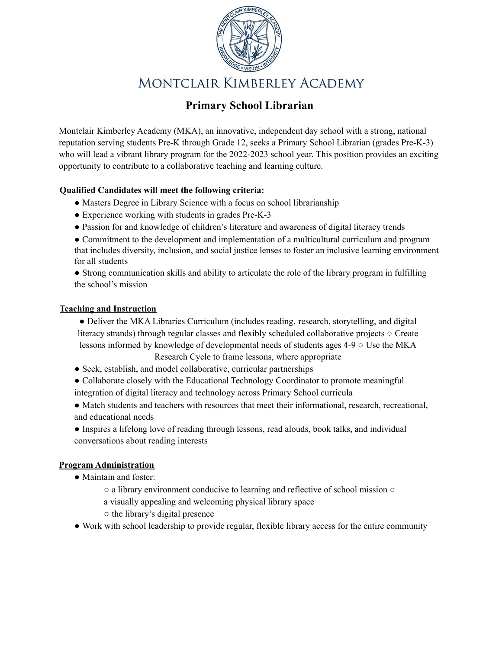

# MONTCLAIR KIMBERLEY ACADEMY

### **Primary School Librarian**

Montclair Kimberley Academy (MKA), an innovative, independent day school with a strong, national reputation serving students Pre-K through Grade 12, seeks a Primary School Librarian (grades Pre-K-3) who will lead a vibrant library program for the 2022-2023 school year. This position provides an exciting opportunity to contribute to a collaborative teaching and learning culture.

#### **Qualified Candidates will meet the following criteria:**

- Masters Degree in Library Science with a focus on school librarianship
- Experience working with students in grades Pre-K-3
- Passion for and knowledge of children's literature and awareness of digital literacy trends
- Commitment to the development and implementation of a multicultural curriculum and program that includes diversity, inclusion, and social justice lenses to foster an inclusive learning environment for all students

● Strong communication skills and ability to articulate the role of the library program in fulfilling the school's mission

#### **Teaching and Instruction**

- Deliver the MKA Libraries Curriculum (includes reading, research, storytelling, and digital literacy strands) through regular classes and flexibly scheduled collaborative projects ○ Create lessons informed by knowledge of developmental needs of students ages 4-9 ○ Use the MKA Research Cycle to frame lessons, where appropriate
- Seek, establish, and model collaborative, curricular partnerships
- Collaborate closely with the Educational Technology Coordinator to promote meaningful integration of digital literacy and technology across Primary School curricula
- Match students and teachers with resources that meet their informational, research, recreational, and educational needs
- Inspires a lifelong love of reading through lessons, read alouds, book talks, and individual conversations about reading interests

#### **Program Administration**

- Maintain and foster:
	- a library environment conducive to learning and reflective of school mission ○
	- a visually appealing and welcoming physical library space
	- the library's digital presence
- Work with school leadership to provide regular, flexible library access for the entire community